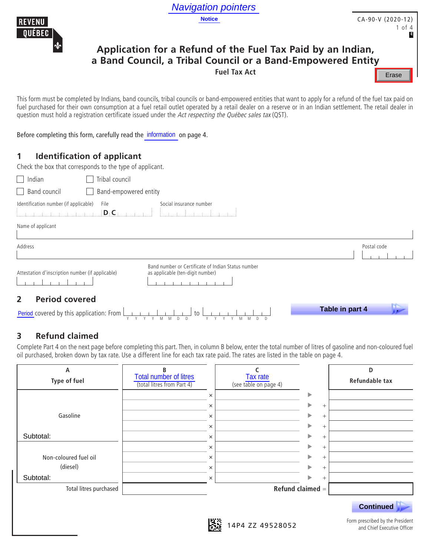

# **Application for a Refund of the Fuel Tax Paid by an Indian, a Band Council, a Tribal Council or a Band-Empowered Entity**

## **1 Identification of applicant**

|                                                                                                                                                                                                                                                                                                                                                                                                                                      |                                                                                        | <b>Navigation pointers</b>                                                                                                                        |                                                                                                                                                          |
|--------------------------------------------------------------------------------------------------------------------------------------------------------------------------------------------------------------------------------------------------------------------------------------------------------------------------------------------------------------------------------------------------------------------------------------|----------------------------------------------------------------------------------------|---------------------------------------------------------------------------------------------------------------------------------------------------|----------------------------------------------------------------------------------------------------------------------------------------------------------|
| <b>REVENU</b><br>QUÉBEC                                                                                                                                                                                                                                                                                                                                                                                                              | <b>Notice</b>                                                                          |                                                                                                                                                   | CA-90-V (2020-12)<br>1 of 4                                                                                                                              |
|                                                                                                                                                                                                                                                                                                                                                                                                                                      |                                                                                        | Application for a Refund of the Fuel Tax Paid by an Indian,<br>a Band Council, a Tribal Council or a Band-Empowered Entity<br><b>Fuel Tax Act</b> | Erase                                                                                                                                                    |
| This form must be completed by Indians, band councils, tribal councils or band-empowered entities that want to apply for a refund of the fuel tax paid or<br>fuel purchased for their own consumption at a fuel retail outlet operated by a retail dealer on a reserve or in an Indian settlement. The retail dealer in<br>question must hold a registration certificate issued under the Act respecting the Québec sales tax (QST). |                                                                                        |                                                                                                                                                   |                                                                                                                                                          |
| Before completing this form, carefully read the information on page 4.                                                                                                                                                                                                                                                                                                                                                               |                                                                                        |                                                                                                                                                   |                                                                                                                                                          |
| <b>Identification of applicant</b><br>1<br>Check the box that corresponds to the type of applicant.                                                                                                                                                                                                                                                                                                                                  |                                                                                        |                                                                                                                                                   |                                                                                                                                                          |
| Tribal council<br>$\Box$ Indian                                                                                                                                                                                                                                                                                                                                                                                                      |                                                                                        |                                                                                                                                                   |                                                                                                                                                          |
| $\Box$ Band council                                                                                                                                                                                                                                                                                                                                                                                                                  | Band-empowered entity                                                                  |                                                                                                                                                   |                                                                                                                                                          |
| Identification number (if applicable)<br>File<br>$D_{\mathrm{f}}C_{\mathrm{f}}$ and $\mathbf{r}$                                                                                                                                                                                                                                                                                                                                     | Social insurance number<br>$\pm$ and<br>na an F                                        |                                                                                                                                                   |                                                                                                                                                          |
| Name of applicant                                                                                                                                                                                                                                                                                                                                                                                                                    |                                                                                        |                                                                                                                                                   |                                                                                                                                                          |
| Address                                                                                                                                                                                                                                                                                                                                                                                                                              |                                                                                        |                                                                                                                                                   | Postal code                                                                                                                                              |
| Attestation d'inscription number (if applicable)                                                                                                                                                                                                                                                                                                                                                                                     | Band number or Certificate of Indian Status number<br>as applicable (ten-digit number) |                                                                                                                                                   |                                                                                                                                                          |
| <b>Period covered</b><br>$\overline{2}$                                                                                                                                                                                                                                                                                                                                                                                              |                                                                                        |                                                                                                                                                   |                                                                                                                                                          |
| Period covered by this application: From                                                                                                                                                                                                                                                                                                                                                                                             | to                                                                                     |                                                                                                                                                   | Table in part 4                                                                                                                                          |
| <b>Refund claimed</b><br>3<br>oil purchased, broken down by tax rate. Use a different line for each tax rate paid. The rates are listed in the table on page 4.                                                                                                                                                                                                                                                                      |                                                                                        |                                                                                                                                                   | Complete Part 4 on the next page before completing this part. Then, in column B below, enter the total number of litres of gasoline and non-coloured fue |
| А                                                                                                                                                                                                                                                                                                                                                                                                                                    | <b>Total number of litres</b>                                                          | C<br><b>Tax rate</b>                                                                                                                              | D                                                                                                                                                        |
| $T$ and $A$                                                                                                                                                                                                                                                                                                                                                                                                                          |                                                                                        |                                                                                                                                                   | Dafundahla tanu                                                                                                                                          |

|  |  |  |  |                   |  |  |  |  |  |  | Table in part 4 |  |  |  |  |
|--|--|--|--|-------------------|--|--|--|--|--|--|-----------------|--|--|--|--|
|  |  |  |  | YYYYMMDD YYYYMMDD |  |  |  |  |  |  |                 |  |  |  |  |

## **3 Refund claimed**

| А<br>Type of fuel      | B<br><b>Total number of litres</b><br>(total litres from Part 4) | Tax rate<br>(see table on page 4) |                    | D<br>Refundable tax                                             |
|------------------------|------------------------------------------------------------------|-----------------------------------|--------------------|-----------------------------------------------------------------|
|                        |                                                                  | $\times$                          | ▶                  |                                                                 |
|                        |                                                                  | ×                                 | ▶<br>$^{+}$        |                                                                 |
| Gasoline               |                                                                  | $\times$                          | $^{+}$             |                                                                 |
|                        |                                                                  | $\times$                          | ь<br>$^{+}$        |                                                                 |
| Subtotal:              |                                                                  | $\times$                          | ь<br>$^{+}$        |                                                                 |
|                        |                                                                  | $\times$                          | $^{+}$             |                                                                 |
| Non-coloured fuel oil  |                                                                  | $\times$                          | ь<br>$^{+}$        |                                                                 |
| (diesel)               |                                                                  | $\times$                          | ь<br>$^{+}$        |                                                                 |
| Subtotal:              |                                                                  | ×                                 | $^{+}$             |                                                                 |
| Total litres purchased |                                                                  |                                   | Refund claimed $=$ |                                                                 |
|                        |                                                                  |                                   |                    | <b>Continued</b>                                                |
|                        |                                                                  | 蹳<br>14P4 ZZ 49528052             |                    | Form prescribed by the President<br>and Chief Executive Officer |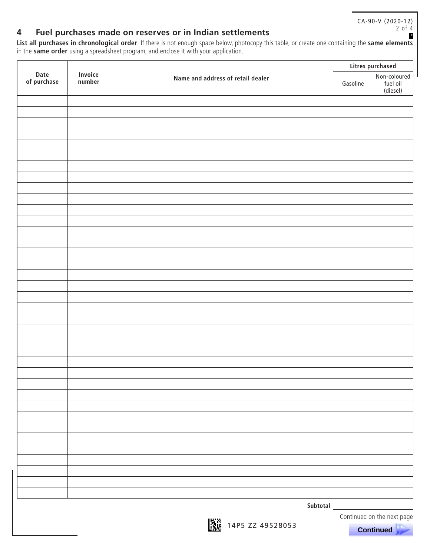CA-90-V (2020-12) 2 of 4**E**

## **4 Fuel purchases made on reserves or in Indian settlements**

**List all purchases in chronological order**. If there is not enough space below, photocopy this table, or create one containing the **same elements**  in the **same order** using a spreadsheet program, and enclose it with your application.

|                     |                          |                                   |          | Litres purchased                     |
|---------------------|--------------------------|-----------------------------------|----------|--------------------------------------|
| Date<br>of purchase | <b>Invoice</b><br>number | Name and address of retail dealer | Gasoline | Non-coloured<br>fuel oil<br>(diesel) |
|                     |                          |                                   |          |                                      |
|                     |                          |                                   |          |                                      |
|                     |                          |                                   |          |                                      |
|                     |                          |                                   |          |                                      |
|                     |                          |                                   |          |                                      |
|                     |                          |                                   |          |                                      |
|                     |                          |                                   |          |                                      |
|                     |                          |                                   |          |                                      |
|                     |                          |                                   |          |                                      |
|                     |                          |                                   |          |                                      |
|                     |                          |                                   |          |                                      |
|                     |                          |                                   |          |                                      |
|                     |                          |                                   |          |                                      |
|                     |                          |                                   |          |                                      |
|                     |                          |                                   |          |                                      |
|                     |                          |                                   |          |                                      |
|                     |                          |                                   |          |                                      |
|                     |                          |                                   |          |                                      |
|                     |                          |                                   |          |                                      |
|                     |                          |                                   |          |                                      |
|                     |                          |                                   |          |                                      |
|                     |                          |                                   |          |                                      |
|                     |                          |                                   |          |                                      |
|                     |                          |                                   |          |                                      |
|                     |                          |                                   |          |                                      |
|                     |                          |                                   |          |                                      |
|                     |                          |                                   |          |                                      |
|                     |                          |                                   |          |                                      |
|                     |                          |                                   |          |                                      |
|                     |                          |                                   |          |                                      |
|                     |                          |                                   |          |                                      |
|                     |                          |                                   |          |                                      |
|                     |                          |                                   |          |                                      |
|                     |                          |                                   |          |                                      |
|                     |                          |                                   |          |                                      |
|                     |                          |                                   |          |                                      |
|                     |                          |                                   |          |                                      |
|                     |                          | Subtotal                          |          |                                      |

**14P5 ZZ 49528053** 

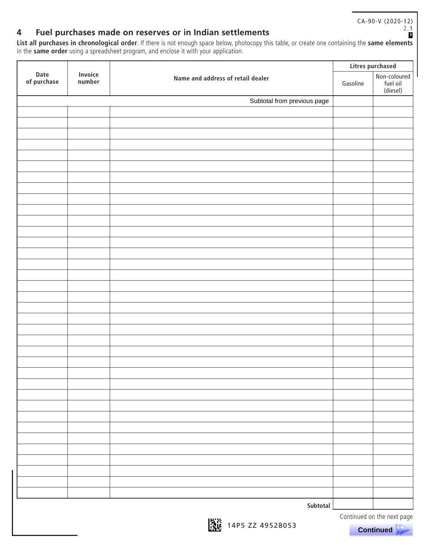CA-90-V (2020-12) 2.1

**E**

## **4 Fuel purchases made on reserves or in Indian settlements**

**List all purchases in chronological order**. If there is not enough space below, photocopy this table, or create one containing the **same elements**  in the **same order** using a spreadsheet program, and enclose it with your application.

|                     |                          |                                   |          | Litres purchased                     |
|---------------------|--------------------------|-----------------------------------|----------|--------------------------------------|
| Date<br>of purchase | <b>Invoice</b><br>number | Name and address of retail dealer | Gasoline | Non-coloured<br>fuel oil<br>(diesel) |
|                     |                          | Subtotal from previous page       |          |                                      |
|                     |                          |                                   |          |                                      |
|                     |                          |                                   |          |                                      |
|                     |                          |                                   |          |                                      |
|                     |                          |                                   |          |                                      |
|                     |                          |                                   |          |                                      |
|                     |                          |                                   |          |                                      |
|                     |                          |                                   |          |                                      |
|                     |                          |                                   |          |                                      |
|                     |                          |                                   |          |                                      |
|                     |                          |                                   |          |                                      |
|                     |                          |                                   |          |                                      |
|                     |                          |                                   |          |                                      |
|                     |                          |                                   |          |                                      |
|                     |                          |                                   |          |                                      |
|                     |                          |                                   |          |                                      |
|                     |                          |                                   |          |                                      |
|                     |                          |                                   |          |                                      |
|                     |                          |                                   |          |                                      |
|                     |                          |                                   |          |                                      |
|                     |                          |                                   |          |                                      |
|                     |                          |                                   |          |                                      |
|                     |                          |                                   |          |                                      |
|                     |                          |                                   |          |                                      |
|                     |                          |                                   |          |                                      |
|                     |                          |                                   |          |                                      |
|                     |                          |                                   |          |                                      |
|                     |                          |                                   |          |                                      |
|                     |                          |                                   |          |                                      |
|                     |                          |                                   |          |                                      |
|                     |                          |                                   |          |                                      |
|                     |                          |                                   |          |                                      |
|                     |                          |                                   |          |                                      |
|                     |                          |                                   |          |                                      |
|                     |                          |                                   |          |                                      |
|                     |                          |                                   |          |                                      |
|                     |                          |                                   |          |                                      |
|                     |                          | Subtotal                          |          |                                      |

Continued on the next page

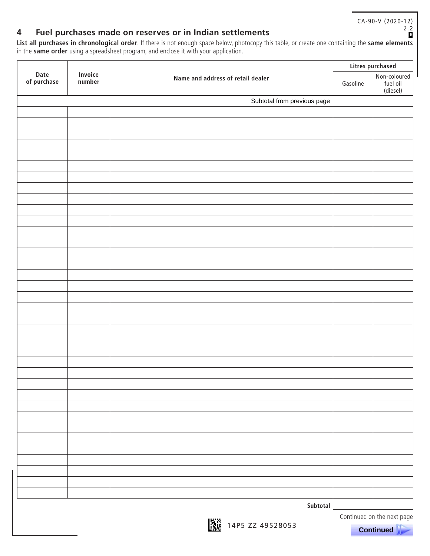CA-90-V (2020-12) 2.2

**E**

## **4 Fuel purchases made on reserves or in Indian settlements**

**List all purchases in chronological order**. If there is not enough space below, photocopy this table, or create one containing the **same elements**  in the **same order** using a spreadsheet program, and enclose it with your application.

|                     |                          |                                   |          | Litres purchased                     |
|---------------------|--------------------------|-----------------------------------|----------|--------------------------------------|
| Date<br>of purchase | <b>Invoice</b><br>number | Name and address of retail dealer | Gasoline | Non-coloured<br>fuel oil<br>(diesel) |
|                     |                          | Subtotal from previous page       |          |                                      |
|                     |                          |                                   |          |                                      |
|                     |                          |                                   |          |                                      |
|                     |                          |                                   |          |                                      |
|                     |                          |                                   |          |                                      |
|                     |                          |                                   |          |                                      |
|                     |                          |                                   |          |                                      |
|                     |                          |                                   |          |                                      |
|                     |                          |                                   |          |                                      |
|                     |                          |                                   |          |                                      |
|                     |                          |                                   |          |                                      |
|                     |                          |                                   |          |                                      |
|                     |                          |                                   |          |                                      |
|                     |                          |                                   |          |                                      |
|                     |                          |                                   |          |                                      |
|                     |                          |                                   |          |                                      |
|                     |                          |                                   |          |                                      |
|                     |                          |                                   |          |                                      |
|                     |                          |                                   |          |                                      |
|                     |                          |                                   |          |                                      |
|                     |                          |                                   |          |                                      |
|                     |                          |                                   |          |                                      |
|                     |                          |                                   |          |                                      |
|                     |                          |                                   |          |                                      |
|                     |                          |                                   |          |                                      |
|                     |                          |                                   |          |                                      |
|                     |                          |                                   |          |                                      |
|                     |                          |                                   |          |                                      |
|                     |                          |                                   |          |                                      |
|                     |                          |                                   |          |                                      |
|                     |                          |                                   |          |                                      |
|                     |                          |                                   |          |                                      |
|                     |                          |                                   |          |                                      |
|                     |                          |                                   |          |                                      |
|                     |                          |                                   |          |                                      |
|                     |                          |                                   |          |                                      |
|                     |                          |                                   |          |                                      |
|                     |                          |                                   |          |                                      |
|                     |                          | Subtotal                          |          |                                      |
|                     |                          | 101256                            |          | Continued on the next page           |

 **Continued .**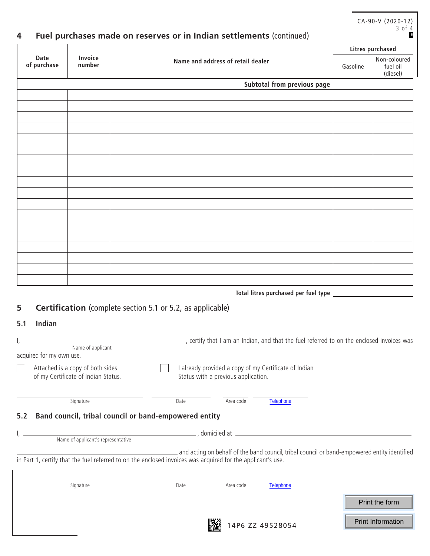|                                  |                                     |                                                                                                                                                                                                             | <b>Litres purchased</b> |                                      |  |  |
|----------------------------------|-------------------------------------|-------------------------------------------------------------------------------------------------------------------------------------------------------------------------------------------------------------|-------------------------|--------------------------------------|--|--|
| Date<br>of purchase              | Invoice<br>number                   | Name and address of retail dealer                                                                                                                                                                           | Gasoline                | Non-coloured<br>fuel oil<br>(diesel) |  |  |
|                                  |                                     | Subtotal from previous page                                                                                                                                                                                 |                         |                                      |  |  |
|                                  |                                     |                                                                                                                                                                                                             |                         |                                      |  |  |
|                                  |                                     |                                                                                                                                                                                                             |                         |                                      |  |  |
|                                  |                                     |                                                                                                                                                                                                             |                         |                                      |  |  |
|                                  |                                     |                                                                                                                                                                                                             |                         |                                      |  |  |
|                                  |                                     |                                                                                                                                                                                                             |                         |                                      |  |  |
|                                  |                                     |                                                                                                                                                                                                             |                         |                                      |  |  |
|                                  |                                     |                                                                                                                                                                                                             |                         |                                      |  |  |
|                                  |                                     |                                                                                                                                                                                                             |                         |                                      |  |  |
|                                  |                                     |                                                                                                                                                                                                             |                         |                                      |  |  |
|                                  |                                     |                                                                                                                                                                                                             |                         |                                      |  |  |
|                                  |                                     |                                                                                                                                                                                                             |                         |                                      |  |  |
|                                  |                                     |                                                                                                                                                                                                             |                         |                                      |  |  |
|                                  |                                     |                                                                                                                                                                                                             |                         |                                      |  |  |
|                                  |                                     |                                                                                                                                                                                                             |                         |                                      |  |  |
|                                  |                                     |                                                                                                                                                                                                             |                         |                                      |  |  |
|                                  |                                     |                                                                                                                                                                                                             |                         |                                      |  |  |
|                                  |                                     | Total litres purchased per fuel type                                                                                                                                                                        |                         |                                      |  |  |
|                                  |                                     | <b>Certification</b> (complete section 5.1 or 5.2, as applicable)                                                                                                                                           |                         |                                      |  |  |
| Indian<br>5.1                    |                                     |                                                                                                                                                                                                             |                         |                                      |  |  |
|                                  |                                     |                                                                                                                                                                                                             |                         |                                      |  |  |
|                                  | Name of applicant                   | _ , certify that I am an Indian, and that the fuel referred to on the enclosed invoices was                                                                                                                 |                         |                                      |  |  |
| acquired for my own use.         |                                     |                                                                                                                                                                                                             |                         |                                      |  |  |
|                                  |                                     | I already provided a copy of my Certificate of Indian                                                                                                                                                       |                         |                                      |  |  |
| Attached is a copy of both sides |                                     |                                                                                                                                                                                                             |                         |                                      |  |  |
|                                  | of my Certificate of Indian Status. | Status with a previous application.                                                                                                                                                                         |                         |                                      |  |  |
|                                  |                                     |                                                                                                                                                                                                             |                         |                                      |  |  |
|                                  | Signature                           | Telephone<br>Date<br>Area code                                                                                                                                                                              |                         |                                      |  |  |
|                                  |                                     | Band council, tribal council or band-empowered entity                                                                                                                                                       |                         |                                      |  |  |
|                                  |                                     |                                                                                                                                                                                                             |                         |                                      |  |  |
|                                  |                                     | Name of applicant's representative and a set of contract and contract of a set of applicant's representative                                                                                                |                         |                                      |  |  |
|                                  |                                     | and acting on behalf of the band council, tribal council or band-empowered entity identified<br>in Part 1, certify that the fuel referred to on the enclosed invoices was acquired for the applicant's use. |                         |                                      |  |  |
| 5.2                              | Signature                           | Area code<br>Telephone<br>Date                                                                                                                                                                              |                         |                                      |  |  |
|                                  |                                     |                                                                                                                                                                                                             |                         | Print the form                       |  |  |

14P6 ZZ 49528054

CA-90-V (2020-12)